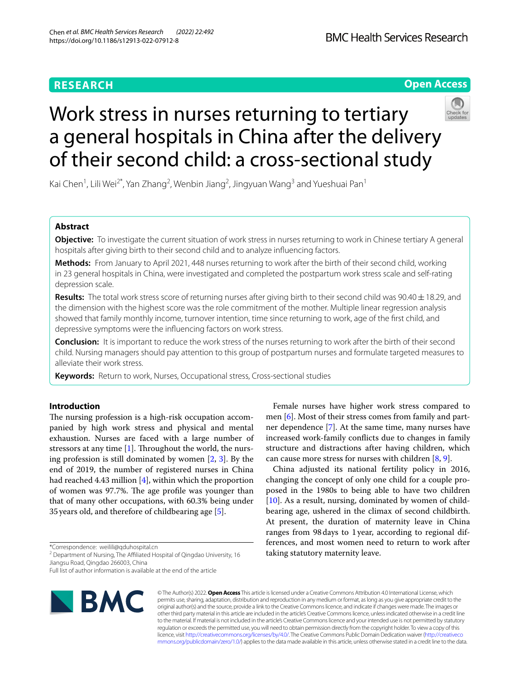# **RESEARCH**

## **Open Access**



# Work stress in nurses returning to tertiary a general hospitals in China after the delivery of their second child: a cross-sectional study

Kai Chen<sup>1</sup>, Lili Wei<sup>2\*</sup>, Yan Zhang<sup>2</sup>, Wenbin Jiang<sup>2</sup>, Jingyuan Wang<sup>3</sup> and Yueshuai Pan<sup>1</sup>

## **Abstract**

**Objective:** To investigate the current situation of work stress in nurses returning to work in Chinese tertiary A general hospitals after giving birth to their second child and to analyze infuencing factors.

**Methods:** From January to April 2021, 448 nurses returning to work after the birth of their second child, working in 23 general hospitals in China, were investigated and completed the postpartum work stress scale and self-rating depression scale.

**Results:** The total work stress score of returning nurses after giving birth to their second child was 90.40  $\pm$  18.29, and the dimension with the highest score was the role commitment of the mother. Multiple linear regression analysis showed that family monthly income, turnover intention, time since returning to work, age of the frst child, and depressive symptoms were the infuencing factors on work stress.

**Conclusion:** It is important to reduce the work stress of the nurses returning to work after the birth of their second child. Nursing managers should pay attention to this group of postpartum nurses and formulate targeted measures to alleviate their work stress.

**Keywords:** Return to work, Nurses, Occupational stress, Cross-sectional studies

## **Introduction**

The nursing profession is a high-risk occupation accompanied by high work stress and physical and mental exhaustion. Nurses are faced with a large number of stressors at any time  $[1]$  $[1]$ . Throughout the world, the nursing profession is still dominated by women [[2,](#page-7-1) [3\]](#page-7-2). By the end of 2019, the number of registered nurses in China had reached 4.43 million [\[4](#page-7-3)], within which the proportion of women was 97.7%. The age profile was younger than that of many other occupations, with 60.3% being under 35years old, and therefore of childbearing age [[5\]](#page-7-4).

<sup>2</sup> Department of Nursing, The Affiliated Hospital of Qingdao University, 16 Jiangsu Road, Qingdao 266003, China

Full list of author information is available at the end of the article



© The Author(s) 2022. **Open Access** This article is licensed under a Creative Commons Attribution 4.0 International License, which permits use, sharing, adaptation, distribution and reproduction in any medium or format, as long as you give appropriate credit to the original author(s) and the source, provide a link to the Creative Commons licence, and indicate if changes were made. The images or other third party material in this article are included in the article's Creative Commons licence, unless indicated otherwise in a credit line to the material. If material is not included in the article's Creative Commons licence and your intended use is not permitted by statutory regulation or exceeds the permitted use, you will need to obtain permission directly from the copyright holder. To view a copy of this licence, visit [http://creativecommons.org/licenses/by/4.0/.](http://creativecommons.org/licenses/by/4.0/) The Creative Commons Public Domain Dedication waiver ([http://creativeco](http://creativecommons.org/publicdomain/zero/1.0/) [mmons.org/publicdomain/zero/1.0/](http://creativecommons.org/publicdomain/zero/1.0/)) applies to the data made available in this article, unless otherwise stated in a credit line to the data.

Female nurses have higher work stress compared to men [\[6](#page-7-5)]. Most of their stress comes from family and partner dependence [\[7](#page-7-6)]. At the same time, many nurses have increased work-family conficts due to changes in family structure and distractions after having children, which can cause more stress for nurses with children [\[8](#page-7-7), [9\]](#page-7-8).

China adjusted its national fertility policy in 2016, changing the concept of only one child for a couple proposed in the 1980s to being able to have two children [[10\]](#page-7-9). As a result, nursing, dominated by women of childbearing age, ushered in the climax of second childbirth. At present, the duration of maternity leave in China ranges from 98days to 1year, according to regional differences, and most women need to return to work after taking statutory maternity leave.

<sup>\*</sup>Correspondence: weilili@qduhospital.cn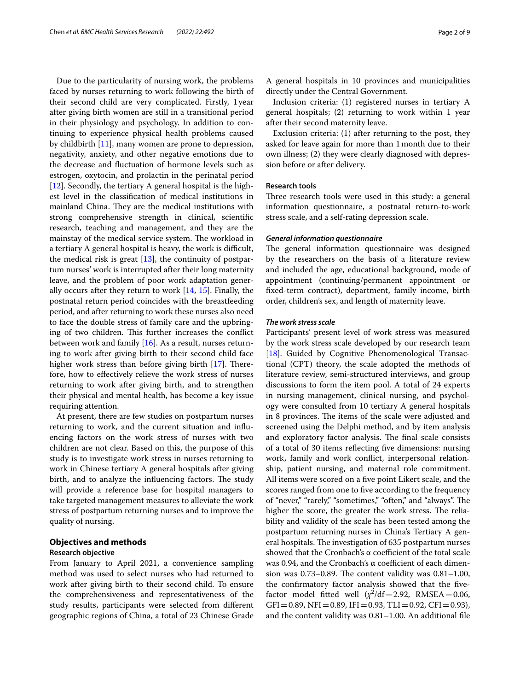Due to the particularity of nursing work, the problems faced by nurses returning to work following the birth of their second child are very complicated. Firstly, 1year after giving birth women are still in a transitional period in their physiology and psychology. In addition to continuing to experience physical health problems caused by childbirth [\[11](#page-8-0)], many women are prone to depression, negativity, anxiety, and other negative emotions due to the decrease and fuctuation of hormone levels such as estrogen, oxytocin, and prolactin in the perinatal period [[12\]](#page-8-1). Secondly, the tertiary A general hospital is the highest level in the classifcation of medical institutions in mainland China. They are the medical institutions with strong comprehensive strength in clinical, scientifc research, teaching and management, and they are the mainstay of the medical service system. The workload in a tertiary A general hospital is heavy, the work is difficult, the medical risk is great  $[13]$  $[13]$ , the continuity of postpartum nurses' work is interrupted after their long maternity leave, and the problem of poor work adaptation generally occurs after they return to work [[14,](#page-8-3) [15](#page-8-4)]. Finally, the postnatal return period coincides with the breastfeeding period, and after returning to work these nurses also need to face the double stress of family care and the upbringing of two children. This further increases the conflict between work and family [[16](#page-8-5)]. As a result, nurses returning to work after giving birth to their second child face higher work stress than before giving birth  $[17]$  $[17]$  $[17]$ . Therefore, how to efectively relieve the work stress of nurses returning to work after giving birth, and to strengthen their physical and mental health, has become a key issue requiring attention.

At present, there are few studies on postpartum nurses returning to work, and the current situation and infuencing factors on the work stress of nurses with two children are not clear. Based on this, the purpose of this study is to investigate work stress in nurses returning to work in Chinese tertiary A general hospitals after giving birth, and to analyze the influencing factors. The study will provide a reference base for hospital managers to take targeted management measures to alleviate the work stress of postpartum returning nurses and to improve the quality of nursing.

## **Objectives and methods**

## **Research objective**

From January to April 2021, a convenience sampling method was used to select nurses who had returned to work after giving birth to their second child. To ensure the comprehensiveness and representativeness of the study results, participants were selected from diferent geographic regions of China, a total of 23 Chinese Grade A general hospitals in 10 provinces and municipalities directly under the Central Government.

Inclusion criteria: (1) registered nurses in tertiary A general hospitals; (2) returning to work within 1 year after their second maternity leave.

Exclusion criteria: (1) after returning to the post, they asked for leave again for more than 1month due to their own illness; (2) they were clearly diagnosed with depression before or after delivery.

## **Research tools**

Three research tools were used in this study: a general information questionnaire, a postnatal return-to-work stress scale, and a self-rating depression scale.

## *General information questionnaire*

The general information questionnaire was designed by the researchers on the basis of a literature review and included the age, educational background, mode of appointment (continuing/permanent appointment or fxed-term contract), department, family income, birth order, children's sex, and length of maternity leave.

## *The work stress scale*

Participants' present level of work stress was measured by the work stress scale developed by our research team [[18\]](#page-8-7). Guided by Cognitive Phenomenological Transactional (CPT) theory, the scale adopted the methods of literature review, semi-structured interviews, and group discussions to form the item pool. A total of 24 experts in nursing management, clinical nursing, and psychology were consulted from 10 tertiary A general hospitals in 8 provinces. The items of the scale were adjusted and screened using the Delphi method, and by item analysis and exploratory factor analysis. The final scale consists of a total of 30 items refecting fve dimensions: nursing work, family and work confict, interpersonal relationship, patient nursing, and maternal role commitment. All items were scored on a fve point Likert scale, and the scores ranged from one to fve according to the frequency of "never," "rarely," "sometimes," "often," and "always". The higher the score, the greater the work stress. The reliability and validity of the scale has been tested among the postpartum returning nurses in China's Tertiary A general hospitals. The investigation of 635 postpartum nurses showed that the Cronbach's  $\alpha$  coefficient of the total scale was 0.94, and the Cronbach's α coefficient of each dimension was  $0.73-0.89$ . The content validity was  $0.81-1.00$ , the confrmatory factor analysis showed that the fvefactor model fitted well  $(\chi^2/df=2.92, \text{RMSEA}=0.06,$  $GFI = 0.89, NFI = 0.89, IFI = 0.93, TLI = 0.92, CFI = 0.93),$ and the content validity was 0.81–1.00. An additional fle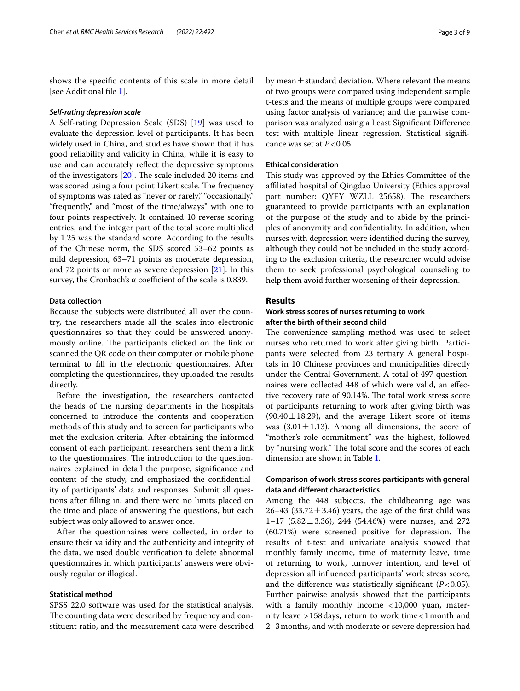shows the specifc contents of this scale in more detail [see Additional fle [1\]](#page-7-10).

#### *Self‑rating depression scale*

A Self-rating Depression Scale (SDS) [[19\]](#page-8-8) was used to evaluate the depression level of participants. It has been widely used in China, and studies have shown that it has good reliability and validity in China, while it is easy to use and can accurately refect the depressive symptoms of the investigators  $[20]$  $[20]$ . The scale included 20 items and was scored using a four point Likert scale. The frequency of symptoms was rated as "never or rarely," "occasionally," "frequently," and "most of the time/always" with one to four points respectively. It contained 10 reverse scoring entries, and the integer part of the total score multiplied by 1.25 was the standard score. According to the results of the Chinese norm, the SDS scored 53–62 points as mild depression, 63–71 points as moderate depression, and 72 points or more as severe depression [[21\]](#page-8-10). In this survey, the Cronbach's  $\alpha$  coefficient of the scale is 0.839.

## **Data collection**

Because the subjects were distributed all over the country, the researchers made all the scales into electronic questionnaires so that they could be answered anonymously online. The participants clicked on the link or scanned the QR code on their computer or mobile phone terminal to fll in the electronic questionnaires. After completing the questionnaires, they uploaded the results directly.

Before the investigation, the researchers contacted the heads of the nursing departments in the hospitals concerned to introduce the contents and cooperation methods of this study and to screen for participants who met the exclusion criteria. After obtaining the informed consent of each participant, researchers sent them a link to the questionnaires. The introduction to the questionnaires explained in detail the purpose, signifcance and content of the study, and emphasized the confdentiality of participants' data and responses. Submit all questions after flling in, and there were no limits placed on the time and place of answering the questions, but each subject was only allowed to answer once.

After the questionnaires were collected, in order to ensure their validity and the authenticity and integrity of the data, we used double verifcation to delete abnormal questionnaires in which participants' answers were obviously regular or illogical.

## **Statistical method**

SPSS 22.0 software was used for the statistical analysis. The counting data were described by frequency and constituent ratio, and the measurement data were described by mean $\pm$ standard deviation. Where relevant the means of two groups were compared using independent sample t-tests and the means of multiple groups were compared using factor analysis of variance; and the pairwise comparison was analyzed using a Least Signifcant Diference test with multiple linear regression. Statistical signifcance was set at *P*<0.05.

#### **Ethical consideration**

This study was approved by the Ethics Committee of the afliated hospital of Qingdao University (Ethics approval part number: QYFY WZLL 25658). The researchers guaranteed to provide participants with an explanation of the purpose of the study and to abide by the principles of anonymity and confdentiality. In addition, when nurses with depression were identifed during the survey, although they could not be included in the study according to the exclusion criteria, the researcher would advise them to seek professional psychological counseling to help them avoid further worsening of their depression.

## **Results**

## **Work stress scores of nurses returning to work after the birth of their second child**

The convenience sampling method was used to select nurses who returned to work after giving birth. Participants were selected from 23 tertiary A general hospitals in 10 Chinese provinces and municipalities directly under the Central Government. A total of 497 questionnaires were collected 448 of which were valid, an efective recovery rate of 90.14%. The total work stress score of participants returning to work after giving birth was (90.40 $\pm$ 18.29), and the average Likert score of items was  $(3.01 \pm 1.13)$ . Among all dimensions, the score of "mother's role commitment" was the highest, followed by "nursing work." The total score and the scores of each dimension are shown in Table [1.](#page-3-0)

## **Comparison of work stress scores participants with general data and diferent characteristics**

Among the 448 subjects, the childbearing age was 26–43 (33.72 $\pm$ 3.46) years, the age of the first child was 1–17 (5.82 $\pm$ 3.36), 244 (54.46%) were nurses, and 272  $(60.71%)$  were screened positive for depression. The results of t-test and univariate analysis showed that monthly family income, time of maternity leave, time of returning to work, turnover intention, and level of depression all infuenced participants' work stress score, and the difference was statistically significant  $(P<0.05)$ . Further pairwise analysis showed that the participants with a family monthly income <10,000 yuan, maternity leave >158days, return to work time<1month and 2–3months, and with moderate or severe depression had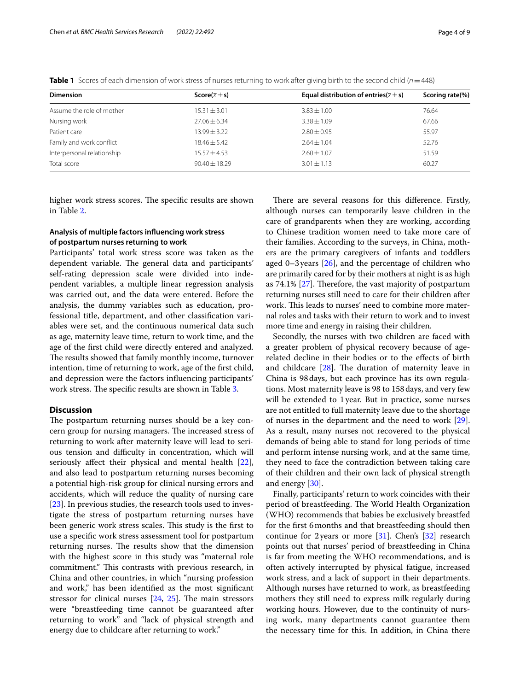<span id="page-3-0"></span>

|  | Table 1 Scores of each dimension of work stress of nurses returning to work after giving birth to the second child (n = 448) |  |  |  |  |  |  |  |  |
|--|------------------------------------------------------------------------------------------------------------------------------|--|--|--|--|--|--|--|--|
|--|------------------------------------------------------------------------------------------------------------------------------|--|--|--|--|--|--|--|--|

| <b>Dimension</b>           | Score( $\bar{x} \pm s$ ) | Equal distribution of entries( $\overline{x} \pm s$ ) | Scoring rate(%) |  |
|----------------------------|--------------------------|-------------------------------------------------------|-----------------|--|
| Assume the role of mother  | $15.31 \pm 3.01$         | $3.83 \pm 1.00$                                       | 76.64           |  |
| Nursing work               | $27.06 \pm 6.34$         | $3.38 \pm 1.09$                                       | 67.66           |  |
| Patient care               | $13.99 + 3.22$           | $2.80 \pm 0.95$                                       | 55.97           |  |
| Family and work conflict   | $18.46 + 5.42$           | $2.64 \pm 1.04$                                       | 52.76           |  |
| Interpersonal relationship | $15.57 \pm 4.53$         | $2.60 \pm 1.07$                                       | 51.59           |  |
| Total score                | $90.40 \pm 18.29$        | $3.01 \pm 1.13$                                       | 60.27           |  |

higher work stress scores. The specific results are shown in Table [2](#page-4-0).

## **Analysis of multiple factors infuencing work stress of postpartum nurses returning to work**

Participants' total work stress score was taken as the dependent variable. The general data and participants' self-rating depression scale were divided into independent variables, a multiple linear regression analysis was carried out, and the data were entered. Before the analysis, the dummy variables such as education, professional title, department, and other classifcation variables were set, and the continuous numerical data such as age, maternity leave time, return to work time, and the age of the frst child were directly entered and analyzed. The results showed that family monthly income, turnover intention, time of returning to work, age of the frst child, and depression were the factors infuencing participants' work stress. The specific results are shown in Table [3](#page-5-0).

## **Discussion**

The postpartum returning nurses should be a key concern group for nursing managers. The increased stress of returning to work after maternity leave will lead to serious tension and difficulty in concentration, which will seriously afect their physical and mental health [\[22](#page-8-11)], and also lead to postpartum returning nurses becoming a potential high-risk group for clinical nursing errors and accidents, which will reduce the quality of nursing care [[23\]](#page-8-12). In previous studies, the research tools used to investigate the stress of postpartum returning nurses have been generic work stress scales. This study is the first to use a specifc work stress assessment tool for postpartum returning nurses. The results show that the dimension with the highest score in this study was "maternal role commitment." This contrasts with previous research, in China and other countries, in which "nursing profession and work," has been identifed as the most signifcant stressor for clinical nurses  $[24, 25]$  $[24, 25]$  $[24, 25]$  $[24, 25]$ . The main stressors were "breastfeeding time cannot be guaranteed after returning to work" and "lack of physical strength and energy due to childcare after returning to work."

There are several reasons for this difference. Firstly, although nurses can temporarily leave children in the care of grandparents when they are working, according to Chinese tradition women need to take more care of their families. According to the surveys, in China, mothers are the primary caregivers of infants and toddlers aged  $0-3$  years  $[26]$  $[26]$ , and the percentage of children who are primarily cared for by their mothers at night is as high as 74.1%  $[27]$  $[27]$ . Therefore, the vast majority of postpartum returning nurses still need to care for their children after work. This leads to nurses' need to combine more maternal roles and tasks with their return to work and to invest more time and energy in raising their children.

Secondly, the nurses with two children are faced with a greater problem of physical recovery because of agerelated decline in their bodies or to the efects of birth and childcare  $[28]$  $[28]$ . The duration of maternity leave in China is 98days, but each province has its own regulations. Most maternity leave is 98 to 158days, and very few will be extended to 1year. But in practice, some nurses are not entitled to full maternity leave due to the shortage of nurses in the department and the need to work [\[29](#page-8-18)]. As a result, many nurses not recovered to the physical demands of being able to stand for long periods of time and perform intense nursing work, and at the same time, they need to face the contradiction between taking care of their children and their own lack of physical strength and energy [\[30\]](#page-8-19).

Finally, participants' return to work coincides with their period of breastfeeding. The World Health Organization (WHO) recommends that babies be exclusively breastfed for the frst 6months and that breastfeeding should then continue for 2years or more [\[31](#page-8-20)]. Chen's [[32\]](#page-8-21) research points out that nurses' period of breastfeeding in China is far from meeting the WHO recommendations, and is often actively interrupted by physical fatigue, increased work stress, and a lack of support in their departments. Although nurses have returned to work, as breastfeeding mothers they still need to express milk regularly during working hours. However, due to the continuity of nursing work, many departments cannot guarantee them the necessary time for this. In addition, in China there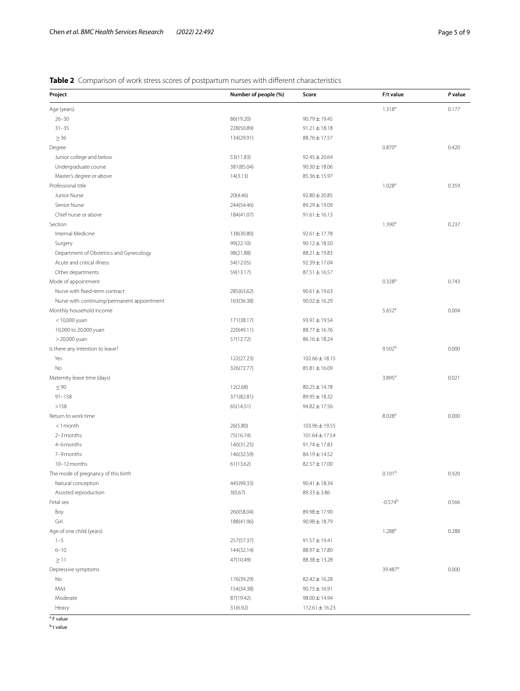## <span id="page-4-0"></span>**Table 2** Comparison of work stress scores of postpartum nurses with different characteristics

| Project                                     | Number of people (%) | Score              | F/t value            | P value |
|---------------------------------------------|----------------------|--------------------|----------------------|---------|
| Age (years)                                 |                      |                    | $1.318^{a}$          | 0.177   |
| $26 - 30$                                   | 86(19.20)            | 90.79 ± 19.45      |                      |         |
| $31 - 35$                                   | 228(50.89)           | $91.21 \pm 18.18$  |                      |         |
| $\geq$ 36                                   | 134(29.91)           | 88.76 ± 17.57      |                      |         |
| Degree                                      |                      |                    | 0.870 <sup>a</sup>   | 0.420   |
| Junior college and below                    | 53(11.83)            | $92.45 \pm 20.64$  |                      |         |
| Undergraduate course                        | 381(85.04)           | $90.30 \pm 18.06$  |                      |         |
| Master's degree or above                    | 14(3.13)             | 85.36 ± 15.97      |                      |         |
| Professional title                          |                      |                    | 1.028 <sup>a</sup>   | 0.359   |
| Junior Nurse                                | 20(4.46)             | $92.80 \pm 20.85$  |                      |         |
| Senior Nurse                                | 244(54.46)           | 89.29 ± 19.09      |                      |         |
| Chief nurse or above                        | 184(41.07)           | $91.61 \pm 16.13$  |                      |         |
| Section                                     |                      |                    | 1.390 <sup>a</sup>   | 0.237   |
| Internal Medicine                           | 138(30.80)           | $92.61 \pm 17.78$  |                      |         |
| Surgery                                     | 99(22.10)            | $90.12 \pm 18.50$  |                      |         |
| Department of Obstetrics and Gynecology     | 98(21.88)            | $88.21 \pm 19.83$  |                      |         |
| Acute and critical illness                  | 54(12.05)            | 92.39 ± 17.04      |                      |         |
| Other departments                           | 59(13.17)            | $87.51 \pm 16.57$  |                      |         |
| Mode of appointment                         |                      |                    | $0.328^{b}$          | 0.743   |
| Nurse with fixed-term contract              | 285(63.62)           | $90.61 \pm 19.63$  |                      |         |
| Nurse with continuing/permanent appointment | 163(36.38)           | $90.02 \pm 16.29$  |                      |         |
| Monthly household income                    |                      |                    | $5.652$ <sup>a</sup> | 0.004   |
| $<$ 10,000 yuan                             | 171(38.17)           | 93.91±19.54        |                      |         |
| 10,000 to 20,000 yuan                       | 220(49.11)           | 88.77 ± 16.76      |                      |         |
| > 20,000 yuan                               | 57(12.72)            | $86.16 \pm 18.24$  |                      |         |
| Is there any intention to leave?            |                      |                    | 9.502 <sup>b</sup>   | 0.000   |
| Yes                                         | 122(27.23)           | $102.66 \pm 18.15$ |                      |         |
| No                                          | 326(72.77)           | $85.81 \pm 16.09$  |                      |         |
| Maternity leave time (days)                 |                      |                    | 3.895 <sup>a</sup>   | 0.021   |
| $\leq 90$                                   | 12(2.68)             | $80.25 \pm 14.78$  |                      |         |
| $91 - 158$                                  | 371(82.81)           | 89.95 ± 18.32      |                      |         |
| >158                                        | 65(14.51)            | $94.82 \pm 17.56$  |                      |         |
| Return to work time                         |                      |                    | 8.028 <sup>a</sup>   | 0.000   |
| $<$ 1 month                                 | 26(5.80)             | 103.96 ± 19.55     |                      |         |
| 2-3 months                                  | 75(16.74)            | $101.64 \pm 17.54$ |                      |         |
| 4-6 months                                  | 140(31.25)           | $91.74 \pm 17.83$  |                      |         |
| 7-9 months                                  | 146(32.59)           | 84.19 ± 14.52      |                      |         |
| 10-12 months                                | 61(13.62)            | $82.57 \pm 17.00$  |                      |         |
| The mode of pregnancy of this birth         |                      |                    | 0.101 <sup>b</sup>   | 0.920   |
| Natural conception                          | 445(99.33)           | $90.41 \pm 18.34$  |                      |         |
| Assisted reproduction                       | 3(0.67)              | $89.33 \pm 3.86$   |                      |         |
| Fetal sex                                   |                      |                    | $-0.574^{b}$         | 0.566   |
| Boy                                         | 260(58.04)           | $89.98 \pm 17.90$  |                      |         |
| Girl                                        | 188(41.96)           | $90.98 \pm 18.79$  |                      |         |
|                                             |                      |                    | $1.288^{a}$          | 0.288   |
| Age of one child (years)<br>$1 - 5$         | 257(57.37)           | $91.57 \pm 19.41$  |                      |         |
| $6 - 10$                                    |                      |                    |                      |         |
|                                             | 144(32.14)           | 88.97 ± 17.80      |                      |         |
| $\geq$ 11                                   | 47(10.49)            | $88.38 \pm 13.28$  |                      |         |
| Depressive symptoms                         |                      |                    | 39.487 <sup>a</sup>  | 0.000   |
| No                                          | 176(39.29)           | $82.42 \pm 16.28$  |                      |         |
| Mild                                        | 154(34.38)           | $90.75 \pm 16.91$  |                      |         |
| Moderate                                    | 87(19.42)            | $98.00 \pm 14.94$  |                      |         |
| Heavy<br><sup>a</sup> F value               | 31(6.92)             | $112.61 \pm 16.23$ |                      |         |

<sup>b</sup> t value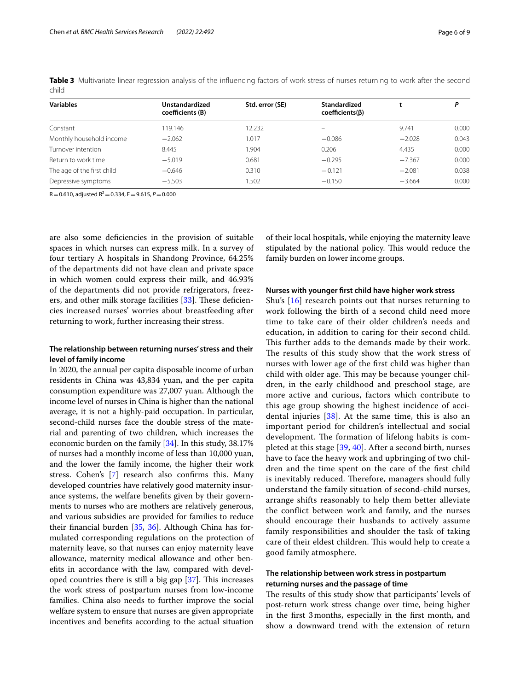| <b>Variables</b>           | Unstandardized<br>coefficients (B) | Std. error (SE) | <b>Standardized</b><br>$coefficients(\beta)$ |          | P     |
|----------------------------|------------------------------------|-----------------|----------------------------------------------|----------|-------|
| Constant                   | 19.146                             | 12.232          |                                              | 9.741    | 0.000 |
| Monthly household income   | $-2.062$                           | 1.017           | $-0.086$                                     | $-2.028$ | 0.043 |
| Turnover intention         | 8.445                              | 1.904           | 0.206                                        | 4.435    | 0.000 |
| Return to work time        | $-5.019$                           | 0.681           | $-0.295$                                     | $-7.367$ | 0.000 |
| The age of the first child | $-0.646$                           | 0.310           | $-0.121$                                     | $-2.081$ | 0.038 |
| Depressive symptoms        | $-5.503$                           | 1.502           | $-0.150$                                     | $-3.664$ | 0.000 |

<span id="page-5-0"></span>**Table 3** Multivariate linear regression analysis of the influencing factors of work stress of nurses returning to work after the second child

 $R=0.610$ , adjusted  $R^2=0.334$ ,  $F=9.615$ ,  $P=0.000$ 

are also some defciencies in the provision of suitable spaces in which nurses can express milk. In a survey of four tertiary A hospitals in Shandong Province, 64.25% of the departments did not have clean and private space in which women could express their milk, and 46.93% of the departments did not provide refrigerators, freez-ers, and other milk storage facilities [\[33\]](#page-8-22). These deficiencies increased nurses' worries about breastfeeding after returning to work, further increasing their stress.

## **The relationship between returning nurses' stress and their level of family income**

In 2020, the annual per capita disposable income of urban residents in China was 43,834 yuan, and the per capita consumption expenditure was 27,007 yuan. Although the income level of nurses in China is higher than the national average, it is not a highly-paid occupation. In particular, second-child nurses face the double stress of the material and parenting of two children, which increases the economic burden on the family [[34](#page-8-23)]. In this study, 38.17% of nurses had a monthly income of less than 10,000 yuan, and the lower the family income, the higher their work stress. Cohen's [[7\]](#page-7-6) research also confrms this. Many developed countries have relatively good maternity insurance systems, the welfare benefts given by their governments to nurses who are mothers are relatively generous, and various subsidies are provided for families to reduce their fnancial burden [[35](#page-8-24), [36](#page-8-25)]. Although China has formulated corresponding regulations on the protection of maternity leave, so that nurses can enjoy maternity leave allowance, maternity medical allowance and other benefts in accordance with the law, compared with developed countries there is still a big gap  $[37]$ . This increases the work stress of postpartum nurses from low-income families. China also needs to further improve the social welfare system to ensure that nurses are given appropriate incentives and benefts according to the actual situation of their local hospitals, while enjoying the maternity leave stipulated by the national policy. This would reduce the family burden on lower income groups.

#### **Nurses with younger frst child have higher work stress**

Shu's [[16\]](#page-8-5) research points out that nurses returning to work following the birth of a second child need more time to take care of their older children's needs and education, in addition to caring for their second child. This further adds to the demands made by their work. The results of this study show that the work stress of nurses with lower age of the frst child was higher than child with older age. This may be because younger children, in the early childhood and preschool stage, are more active and curious, factors which contribute to this age group showing the highest incidence of accidental injuries [\[38](#page-8-27)]. At the same time, this is also an important period for children's intellectual and social development. The formation of lifelong habits is completed at this stage [[39](#page-8-28), [40\]](#page-8-29). After a second birth, nurses have to face the heavy work and upbringing of two children and the time spent on the care of the frst child is inevitably reduced. Therefore, managers should fully understand the family situation of second-child nurses, arrange shifts reasonably to help them better alleviate the confict between work and family, and the nurses should encourage their husbands to actively assume family responsibilities and shoulder the task of taking care of their eldest children. This would help to create a good family atmosphere.

## **The relationship between work stress in postpartum returning nurses and the passage of time**

The results of this study show that participants' levels of post-return work stress change over time, being higher in the frst 3months, especially in the frst month, and show a downward trend with the extension of return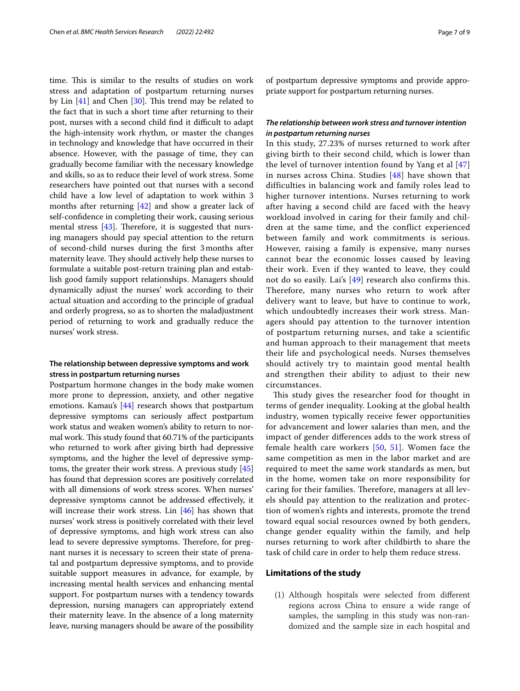time. This is similar to the results of studies on work stress and adaptation of postpartum returning nurses by Lin  $[41]$  $[41]$  and Chen  $[30]$  $[30]$ . This trend may be related to the fact that in such a short time after returning to their post, nurses with a second child find it difficult to adapt the high-intensity work rhythm, or master the changes in technology and knowledge that have occurred in their absence. However, with the passage of time, they can gradually become familiar with the necessary knowledge and skills, so as to reduce their level of work stress. Some researchers have pointed out that nurses with a second child have a low level of adaptation to work within 3 months after returning [\[42](#page-8-31)] and show a greater lack of self-confdence in completing their work, causing serious mental stress  $[43]$ . Therefore, it is suggested that nursing managers should pay special attention to the return of second-child nurses during the frst 3months after maternity leave. They should actively help these nurses to formulate a suitable post-return training plan and establish good family support relationships. Managers should dynamically adjust the nurses' work according to their actual situation and according to the principle of gradual and orderly progress, so as to shorten the maladjustment period of returning to work and gradually reduce the nurses' work stress.

## **The relationship between depressive symptoms and work stress in postpartum returning nurses**

Postpartum hormone changes in the body make women more prone to depression, anxiety, and other negative emotions. Kamau's [[44\]](#page-8-33) research shows that postpartum depressive symptoms can seriously afect postpartum work status and weaken women's ability to return to normal work. This study found that 60.71% of the participants who returned to work after giving birth had depressive symptoms, and the higher the level of depressive symptoms, the greater their work stress. A previous study [[45](#page-8-34)] has found that depression scores are positively correlated with all dimensions of work stress scores. When nurses' depressive symptoms cannot be addressed efectively, it will increase their work stress. Lin [[46](#page-8-35)] has shown that nurses' work stress is positively correlated with their level of depressive symptoms, and high work stress can also lead to severe depressive symptoms. Therefore, for pregnant nurses it is necessary to screen their state of prenatal and postpartum depressive symptoms, and to provide suitable support measures in advance, for example, by increasing mental health services and enhancing mental support. For postpartum nurses with a tendency towards depression, nursing managers can appropriately extend their maternity leave. In the absence of a long maternity leave, nursing managers should be aware of the possibility of postpartum depressive symptoms and provide appropriate support for postpartum returning nurses.

## *The relationship between work stress and turnover intention in postpartum returning nurses*

In this study, 27.23% of nurses returned to work after giving birth to their second child, which is lower than the level of turnover intention found by Yang et al [[47](#page-8-36)] in nurses across China. Studies [\[48\]](#page-8-37) have shown that difficulties in balancing work and family roles lead to higher turnover intentions. Nurses returning to work after having a second child are faced with the heavy workload involved in caring for their family and children at the same time, and the conflict experienced between family and work commitments is serious. However, raising a family is expensive, many nurses cannot bear the economic losses caused by leaving their work. Even if they wanted to leave, they could not do so easily. Lai's [[49](#page-8-38)] research also confirms this. Therefore, many nurses who return to work after delivery want to leave, but have to continue to work, which undoubtedly increases their work stress. Managers should pay attention to the turnover intention of postpartum returning nurses, and take a scientific and human approach to their management that meets their life and psychological needs. Nurses themselves should actively try to maintain good mental health and strengthen their ability to adjust to their new circumstances.

This study gives the researcher food for thought in terms of gender inequality. Looking at the global health industry, women typically receive fewer opportunities for advancement and lower salaries than men, and the impact of gender diferences adds to the work stress of female health care workers [\[50](#page-8-39), [51\]](#page-8-40). Women face the same competition as men in the labor market and are required to meet the same work standards as men, but in the home, women take on more responsibility for caring for their families. Therefore, managers at all levels should pay attention to the realization and protection of women's rights and interests, promote the trend toward equal social resources owned by both genders, change gender equality within the family, and help nurses returning to work after childbirth to share the task of child care in order to help them reduce stress.

## **Limitations of the study**

(1) Although hospitals were selected from diferent regions across China to ensure a wide range of samples, the sampling in this study was non-randomized and the sample size in each hospital and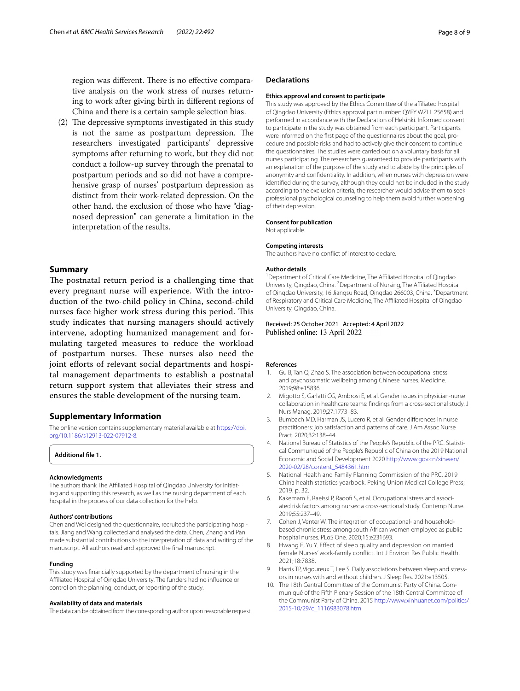region was different. There is no effective comparative analysis on the work stress of nurses returning to work after giving birth in diferent regions of China and there is a certain sample selection bias.

(2) The depressive symptoms investigated in this study is not the same as postpartum depression. The researchers investigated participants' depressive symptoms after returning to work, but they did not conduct a follow-up survey through the prenatal to postpartum periods and so did not have a comprehensive grasp of nurses' postpartum depression as distinct from their work-related depression. On the other hand, the exclusion of those who have "diagnosed depression" can generate a limitation in the interpretation of the results.

## **Summary**

The postnatal return period is a challenging time that every pregnant nurse will experience. With the introduction of the two-child policy in China, second-child nurses face higher work stress during this period. This study indicates that nursing managers should actively intervene, adopting humanized management and formulating targeted measures to reduce the workload of postpartum nurses. These nurses also need the joint efforts of relevant social departments and hospital management departments to establish a postnatal return support system that alleviates their stress and ensures the stable development of the nursing team.

## **Supplementary Information**

The online version contains supplementary material available at [https://doi.](https://doi.org/10.1186/s12913-022-07912-8) [org/10.1186/s12913-022-07912-8](https://doi.org/10.1186/s12913-022-07912-8).

<span id="page-7-10"></span>**Additional fle 1.**

#### **Acknowledgments**

The authors thank The Affiliated Hospital of Qingdao University for initiating and supporting this research, as well as the nursing department of each hospital in the process of our data collection for the help.

#### **Authors' contributions**

Chen and Wei designed the questionnaire, recruited the participating hospitals. Jiang and Wang collected and analysed the data. Chen, Zhang and Pan made substantial contributions to the interpretation of data and writing of the manuscript. All authors read and approved the fnal manuscript.

#### **Funding**

This study was fnancially supported by the department of nursing in the Afliated Hospital of Qingdao University. The funders had no infuence or control on the planning, conduct, or reporting of the study.

#### **Availability of data and materials**

The data can be obtained from the corresponding author upon reasonable request.

#### **Declarations**

#### **Ethics approval and consent to participate**

This study was approved by the Ethics Committee of the affiliated hospital of Qingdao University (Ethics approval part number: QYFY WZLL 25658) and performed in accordance with the Declaration of Helsinki. Informed consent to participate in the study was obtained from each participant. Participants were informed on the first page of the questionnaires about the goal, procedure and possible risks and had to actively give their consent to continue the questionnaires. The studies were carried out on a voluntary basis for all nurses participating. The researchers guaranteed to provide participants with an explanation of the purpose of the study and to abide by the principles of anonymity and confdentiality. In addition, when nurses with depression were identifed during the survey, although they could not be included in the study according to the exclusion criteria, the researcher would advise them to seek professional psychological counseling to help them avoid further worsening of their depression.

#### **Consent for publication**

Not applicable.

#### **Competing interests**

The authors have no confict of interest to declare.

#### **Author details**

<sup>1</sup> Department of Critical Care Medicine, The Affiliated Hospital of Qingdao University, Qingdao, China. <sup>2</sup> Department of Nursing, The Affiliated Hospital of Qingdao University, 16 Jiangsu Road, Qingdao 266003, China. <sup>3</sup>Department of Respiratory and Critical Care Medicine, The Affiliated Hospital of Qingdao University, Qingdao, China.

## Received: 25 October 2021 Accepted: 4 April 2022 Published online: 13 April 2022

#### **References**

- <span id="page-7-0"></span>1. Gu B, Tan Q, Zhao S. The association between occupational stress and psychosomatic wellbeing among Chinese nurses. Medicine. 2019;98:e15836.
- <span id="page-7-1"></span>2. Migotto S, Garlatti CG, Ambrosi E, et al. Gender issues in physician-nurse collaboration in healthcare teams: fndings from a cross-sectional study. J Nurs Manag. 2019;27:1773–83.
- <span id="page-7-2"></span>3. Bumbach MD, Harman JS, Lucero R, et al. Gender diferences in nurse practitioners: job satisfaction and patterns of care. J Am Assoc Nurse Pract. 2020;32:138–44.
- <span id="page-7-3"></span>4. National Bureau of Statistics of the People's Republic of the PRC. Statistical Communiqué of the People's Republic of China on the 2019 National Economic and Social Development 2020 [http://www.gov.cn/xinwen/](http://www.gov.cn/xinwen/2020-02/28/content_5484361.htm) [2020-02/28/content\\_5484361.htm](http://www.gov.cn/xinwen/2020-02/28/content_5484361.htm)
- <span id="page-7-4"></span>5. National Health and Family Planning Commission of the PRC. 2019 China health statistics yearbook. Peking Union Medical College Press; 2019. p. 32.
- <span id="page-7-5"></span>6. Kakemam E, Raeissi P, Raoofi S, et al. Occupational stress and associated risk factors among nurses: a cross-sectional study. Contemp Nurse. 2019;55:237–49.
- <span id="page-7-6"></span>7. Cohen J, Venter W. The integration of occupational- and householdbased chronic stress among south African women employed as public hospital nurses. PLoS One. 2020;15:e231693.
- <span id="page-7-7"></span>8. Hwang E, Yu Y. Effect of sleep quality and depression on married female Nurses' work-family conflict. Int J Environ Res Public Health. 2021;18:7838.
- <span id="page-7-8"></span>9. Harris TP, Vigoureux T, Lee S. Daily associations between sleep and stressors in nurses with and without children. J Sleep Res. 2021:e13505.
- <span id="page-7-9"></span>10. The 18th Central Committee of the Communist Party of China. Communiqué of the Fifth Plenary Session of the 18th Central Committee of the Communist Party of China. 2015 [http://www.xinhuanet.com/politics/](http://www.xinhuanet.com/politics/2015-10/29/c_1116983078.htm) [2015-10/29/c\\_1116983078.htm](http://www.xinhuanet.com/politics/2015-10/29/c_1116983078.htm)